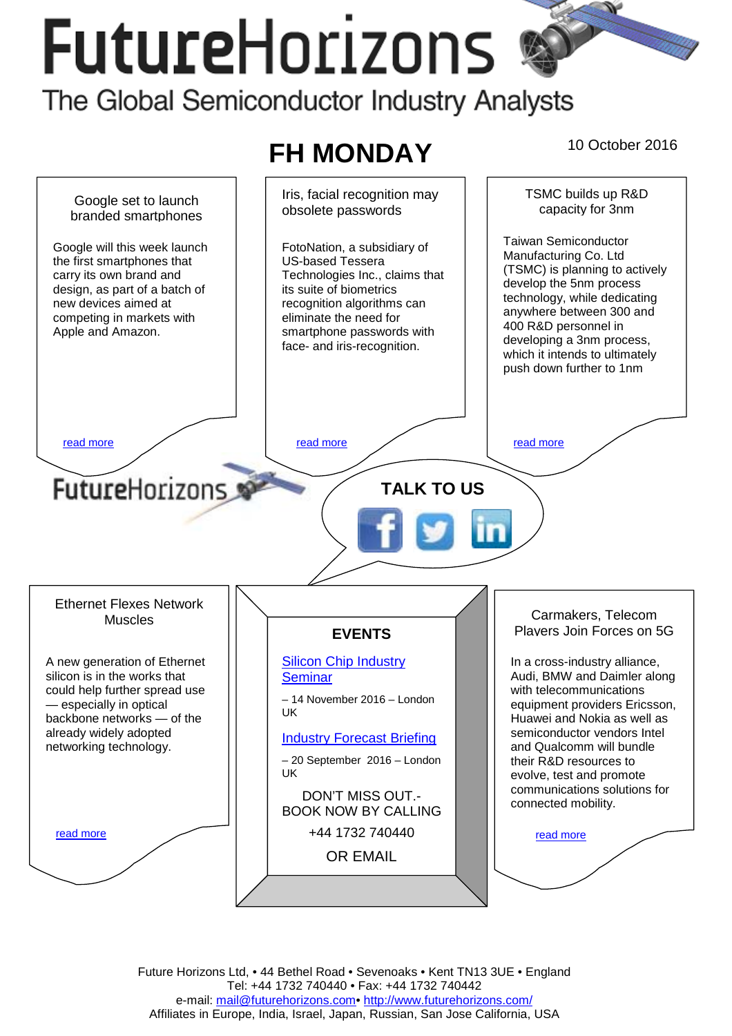# **FutureHorizons** The Global Semiconductor Industry Analysts





Future Horizons Ltd, • 44 Bethel Road • Sevenoaks • Kent TN13 3UE • England Tel: +44 1732 740440 • Fax: +44 1732 740442 e-mail: mail@futurehorizons.com• http://www.futurehorizons.com/ Affiliates in Europe, India, Israel, Japan, Russian, San Jose California, USA